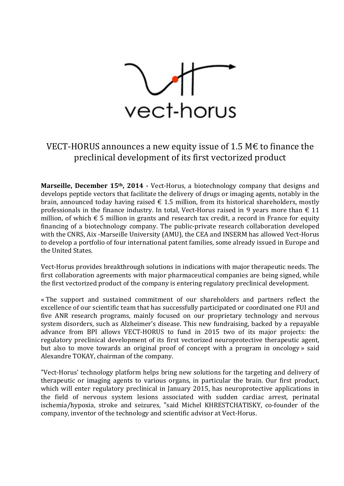

## VECT-HORUS announces a new equity issue of 1.5 M $\epsilon$  to finance the preclinical development of its first vectorized product

**Marseille, December 15th, 2014 -** Vect-Horus, a biotechnology company that designs and develops peptide vectors that facilitate the delivery of drugs or imaging agents, notably in the brain, announced today having raised  $\epsilon$  1.5 million, from its historical shareholders, mostly professionals in the finance industry. In total, Vect-Horus raised in 9 years more than  $\epsilon$  11 million, of which  $\epsilon$  5 million in grants and research tax credit, a record in France for equity financing of a biotechnology company. The public-private research collaboration developed with the CNRS, Aix -Marseille University (AMU), the CEA and INSERM has allowed Vect-Horus to develop a portfolio of four international patent families, some already issued in Europe and the United States.

Vect-Horus provides breakthrough solutions in indications with major therapeutic needs. The first collaboration agreements with major pharmaceutical companies are being signed, while the first vectorized product of the company is entering regulatory preclinical development.

« The support and sustained commitment of our shareholders and partners reflect the excellence of our scientific team that has successfully participated or coordinated one FUI and five ANR research programs, mainly focused on our proprietary technology and nervous system disorders, such as Alzheimer's disease. This new fundraising, backed by a repayable advance from BPI allows VECT-HORUS to fund in 2015 two of its major projects: the regulatory preclinical development of its first vectorized neuroprotective therapeutic agent, but also to move towards an original proof of concept with a program in oncology » said Alexandre TOKAY, chairman of the company.

"Vect-Horus' technology platform helps bring new solutions for the targeting and delivery of therapeutic or imaging agents to various organs, in particular the brain. Our first product, which will enter regulatory preclinical in January 2015, has neuroprotective applications in the field of nervous system lesions associated with sudden cardiac arrest, perinatal ischemia/hypoxia, stroke and seizures, "said Michel KHRESTCHATISKY, co-founder of the company, inventor of the technology and scientific advisor at Vect-Horus.